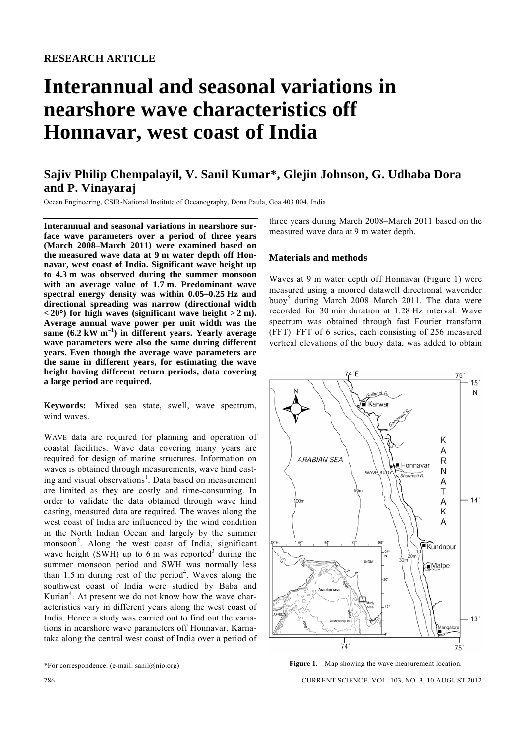# **Interannual and seasonal variations in nearshore wave characteristics off Honnavar, west coast of India**

## **Sajiv Philip Chempalayil, V. Sanil Kumar\*, Glejin Johnson, G. Udhaba Dora and P. Vinayaraj**

Ocean Engineering, CSIR-National Institute of Oceanography, Dona Paula, Goa 403 004, India

**Interannual and seasonal variations in nearshore surface wave parameters over a period of three years (March 2008–March 2011) were examined based on the measured wave data at 9 m water depth off Honnavar, west coast of India. Significant wave height up to 4.3 m was observed during the summer monsoon with an average value of 1.7 m. Predominant wave spectral energy density was within 0.05–0.25 Hz and directional spreading was narrow (directional width**   $(20^\circ)$  for high waves (significant wave height  $> 2$  m). **Average annual wave power per unit width was the same (6.2 kW m–1) in different years. Yearly average wave parameters were also the same during different years. Even though the average wave parameters are the same in different years, for estimating the wave height having different return periods, data covering a large period are required.** 

**Keywords:** Mixed sea state, swell, wave spectrum, wind waves.

WAVE data are required for planning and operation of coastal facilities. Wave data covering many years are required for design of marine structures. Information on waves is obtained through measurements, wave hind casting and visual observations<sup>1</sup>. Data based on measurement are limited as they are costly and time-consuming. In order to validate the data obtained through wave hind casting, measured data are required. The waves along the west coast of India are influenced by the wind condition in the North Indian Ocean and largely by the summer monsoon<sup>2</sup>. Along the west coast of India, significant wave height (SWH) up to 6 m was reported<sup>3</sup> during the summer monsoon period and SWH was normally less than  $1.5$  m during rest of the period<sup>4</sup>. Waves along the southwest coast of India were studied by Baba and Kurian<sup>4</sup>. At present we do not know how the wave characteristics vary in different years along the west coast of India. Hence a study was carried out to find out the variations in nearshore wave parameters off Honnavar, Karnataka along the central west coast of India over a period of

three years during March 2008–March 2011 based on the measured wave data at 9 m water depth.

#### **Materials and methods**

Waves at 9 m water depth off Honnavar (Figure 1) were measured using a moored datawell directional waverider buoy<sup>5</sup> during March 2008–March 2011. The data were recorded for 30 min duration at 1.28 Hz interval. Wave spectrum was obtained through fast Fourier transform (FFT). FFT of 6 series, each consisting of 256 measured vertical elevations of the buoy data, was added to obtain



Figure 1. Map showing the wave measurement location.

286 CURRENT SCIENCE, VOL. 103, NO. 3, 10 AUGUST 2012

<sup>\*</sup>For correspondence. (e-mail: sanil $@nio.org$ )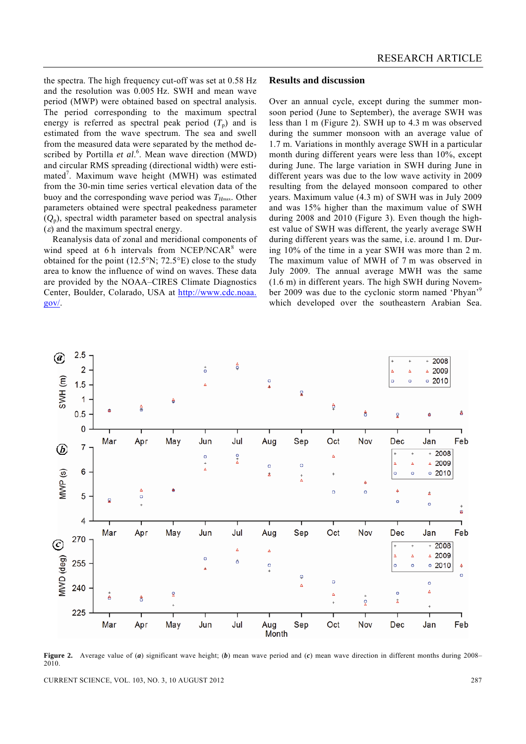the spectra. The high frequency cut-off was set at 0.58 Hz and the resolution was 0.005 Hz. SWH and mean wave period (MWP) were obtained based on spectral analysis. The period corresponding to the maximum spectral energy is referred as spectral peak period  $(T_p)$  and is estimated from the wave spectrum. The sea and swell from the measured data were separated by the method described by Portilla *et al.*<sup>6</sup>. Mean wave direction (MWD) and circular RMS spreading (directional width) were estimated<sup>7</sup>. Maximum wave height (MWH) was estimated from the 30-min time series vertical elevation data of the buoy and the corresponding wave period was  $T_{H\text{max}}$ . Other parameters obtained were spectral peakedness parameter  $(Q_p)$ , spectral width parameter based on spectral analysis  $(\varepsilon)$  and the maximum spectral energy.

 Reanalysis data of zonal and meridional components of wind speed at 6 h intervals from NCEP/NCAR $<sup>8</sup>$  were</sup> obtained for the point  $(12.5^{\circ}N; 72.5^{\circ}E)$  close to the study area to know the influence of wind on waves. These data are provided by the NOAA–CIRES Climate Diagnostics Center, Boulder, Colarado, USA at http://www.cdc.noaa. gov/.

#### **Results and discussion**

Over an annual cycle, except during the summer monsoon period (June to September), the average SWH was less than 1 m (Figure 2). SWH up to 4.3 m was observed during the summer monsoon with an average value of 1.7 m. Variations in monthly average SWH in a particular month during different years were less than 10%, except during June. The large variation in SWH during June in different years was due to the low wave activity in 2009 resulting from the delayed monsoon compared to other years. Maximum value (4.3 m) of SWH was in July 2009 and was 15% higher than the maximum value of SWH during 2008 and 2010 (Figure 3). Even though the highest value of SWH was different, the yearly average SWH during different years was the same, i.e. around 1 m. During 10% of the time in a year SWH was more than 2 m. The maximum value of MWH of 7 m was observed in July 2009. The annual average MWH was the same (1.6 m) in different years. The high SWH during November 2009 was due to the cyclonic storm named 'Phyan'<sup>9</sup> which developed over the southeastern Arabian Sea.



**Figure 2.** Average value of (*a*) significant wave height; (*b*) mean wave period and (*c*) mean wave direction in different months during 2008– 2010.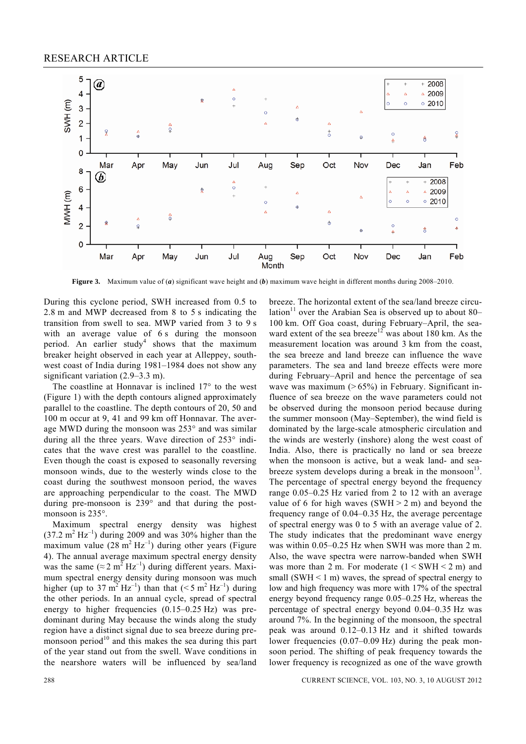

**Figure 3.** Maximum value of (*a*) significant wave height and (*b*) maximum wave height in different months during 2008–2010.

During this cyclone period, SWH increased from 0.5 to 2.8 m and MWP decreased from 8 to 5 s indicating the transition from swell to sea. MWP varied from 3 to 9 s with an average value of 6 s during the monsoon period. An earlier study<sup>4</sup> shows that the maximum breaker height observed in each year at Alleppey, southwest coast of India during 1981–1984 does not show any significant variation (2.9–3.3 m).

 The coastline at Honnavar is inclined 17° to the west (Figure 1) with the depth contours aligned approximately parallel to the coastline. The depth contours of 20, 50 and 100 m occur at 9, 41 and 99 km off Honnavar. The average MWD during the monsoon was 253° and was similar during all the three years. Wave direction of 253° indicates that the wave crest was parallel to the coastline. Even though the coast is exposed to seasonally reversing monsoon winds, due to the westerly winds close to the coast during the southwest monsoon period, the waves are approaching perpendicular to the coast. The MWD during pre-monsoon is 239° and that during the postmonsoon is 235°.

 Maximum spectral energy density was highest  $(37.2 \text{ m}^2 \text{ Hz}^{-1})$  during 2009 and was 30% higher than the maximum value  $(28 \text{ m}^2 \text{ Hz}^{-1})$  during other years (Figure 4). The annual average maximum spectral energy density was the same ( $\approx 2 \text{ m}^2 \text{ Hz}^{-1}$ ) during different years. Maximum spectral energy density during monsoon was much higher (up to 37 m<sup>2</sup> Hz<sup>-1</sup>) than that (<5 m<sup>2</sup> Hz<sup>-1</sup>) during the other periods. In an annual cycle, spread of spectral energy to higher frequencies (0.15–0.25 Hz) was predominant during May because the winds along the study region have a distinct signal due to sea breeze during premonsoon period<sup>10</sup> and this makes the sea during this part of the year stand out from the swell. Wave conditions in the nearshore waters will be influenced by sea/land

breeze. The horizontal extent of the sea/land breeze circulation<sup>11</sup> over the Arabian Sea is observed up to about 80– 100 km. Off Goa coast, during February–April, the seaward extent of the sea breeze<sup>12</sup> was about 180 km. As the measurement location was around 3 km from the coast, the sea breeze and land breeze can influence the wave parameters. The sea and land breeze effects were more during February–April and hence the percentage of sea wave was maximum  $($ >65%) in February. Significant influence of sea breeze on the wave parameters could not be observed during the monsoon period because during the summer monsoon (May–September), the wind field is dominated by the large-scale atmospheric circulation and the winds are westerly (inshore) along the west coast of India. Also, there is practically no land or sea breeze when the monsoon is active, but a weak land- and seabreeze system develops during a break in the monsoon<sup>13</sup>. The percentage of spectral energy beyond the frequency range 0.05–0.25 Hz varied from 2 to 12 with an average value of 6 for high waves  $(SWH > 2 m)$  and beyond the frequency range of 0.04–0.35 Hz, the average percentage of spectral energy was 0 to 5 with an average value of 2. The study indicates that the predominant wave energy was within 0.05–0.25 Hz when SWH was more than 2 m. Also, the wave spectra were narrow-banded when SWH was more than 2 m. For moderate  $(1 \leq SWH \leq 2 m)$  and small (SWH  $\leq 1$  m) waves, the spread of spectral energy to low and high frequency was more with 17% of the spectral energy beyond frequency range 0.05–0.25 Hz, whereas the percentage of spectral energy beyond 0.04–0.35 Hz was around 7%. In the beginning of the monsoon, the spectral peak was around 0.12–0.13 Hz and it shifted towards lower frequencies (0.07–0.09 Hz) during the peak monsoon period. The shifting of peak frequency towards the lower frequency is recognized as one of the wave growth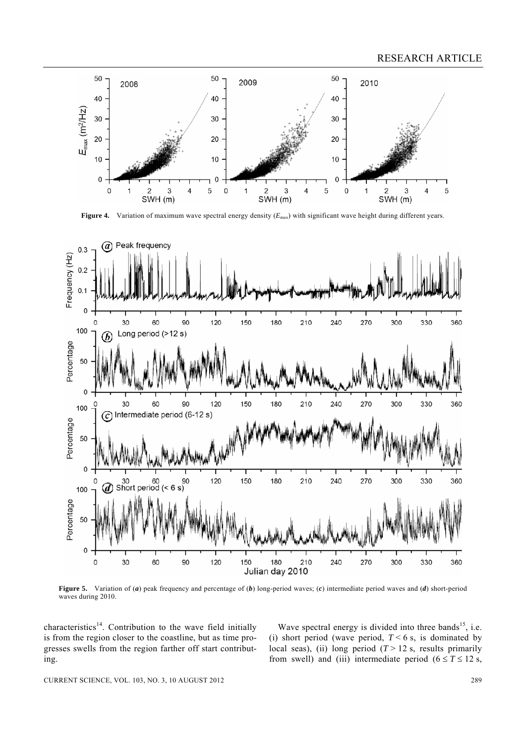

**Figure 4.** Variation of maximum wave spectral energy density ( $E_{\text{max}}$ ) with significant wave height during different years.



**Figure 5.** Variation of (*a*) peak frequency and percentage of (*b*) long-period waves; (*c*) intermediate period waves and (*d*) short-period waves during 2010.

characteristics<sup>14</sup>. Contribution to the wave field initially is from the region closer to the coastline, but as time progresses swells from the region farther off start contributing.

Wave spectral energy is divided into three bands<sup>15</sup>, i.e. (i) short period (wave period,  $T < 6$  s, is dominated by local seas), (ii) long period  $(T > 12$  s, results primarily from swell) and (iii) intermediate period  $(6 \le T \le 12 \text{ s}$ ,

CURRENT SCIENCE, VOL. 103, NO. 3, 10 AUGUST 2012 289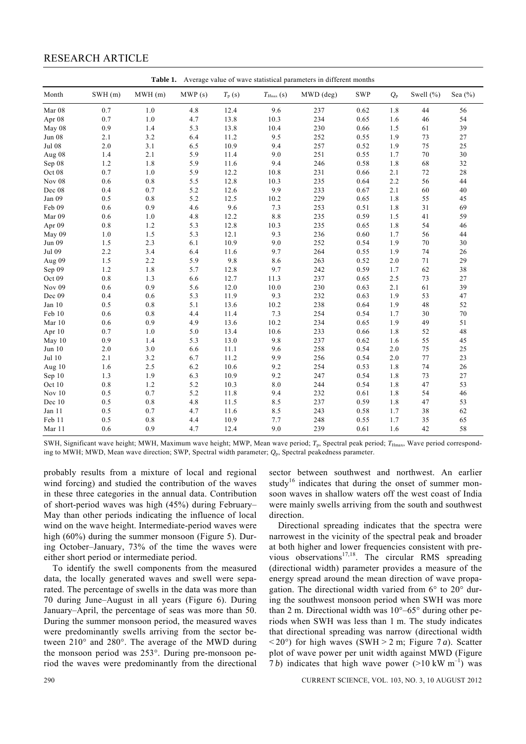### RESEARCH ARTICLE

|               | Table 1. Average value of wave statistical parameters in different months |        |        |                 |               |           |            |             |               |             |
|---------------|---------------------------------------------------------------------------|--------|--------|-----------------|---------------|-----------|------------|-------------|---------------|-------------|
| Month         | SWH(m)                                                                    | MWH(m) | MWP(s) | $T_{\rm p}$ (s) | $T_{Hmax}(s)$ | MWD (deg) | <b>SWP</b> | $Q_{\rm p}$ | Swell $(\% )$ | Sea $(\% )$ |
| Mar 08        | $0.7\,$                                                                   | $1.0$  | 4.8    | 12.4            | 9.6           | 237       | 0.62       | 1.8         | 44            | 56          |
| Apr 08        | 0.7                                                                       | 1.0    | 4.7    | 13.8            | 10.3          | 234       | 0.65       | 1.6         | 46            | 54          |
| May 08        | 0.9                                                                       | 1.4    | 5.3    | 13.8            | 10.4          | 230       | 0.66       | 1.5         | 61            | 39          |
| <b>Jun 08</b> | 2.1                                                                       | 3.2    | 6.4    | 11.2            | 9.5           | 252       | 0.55       | 1.9         | 73            | 27          |
| <b>Jul 08</b> | $2.0\,$                                                                   | 3.1    | 6.5    | 10.9            | 9.4           | 257       | 0.52       | 1.9         | 75            | 25          |
| Aug 08        | 1.4                                                                       | 2.1    | 5.9    | 11.4            | 9.0           | 251       | 0.55       | 1.7         | 70            | 30          |
| Sep 08        | 1.2                                                                       | 1.8    | 5.9    | 11.6            | 9.4           | 246       | 0.58       | 1.8         | 68            | 32          |
| Oct 08        | 0.7                                                                       | 1.0    | 5.9    | 12.2            | 10.8          | 231       | 0.66       | 2.1         | 72            | $2\sqrt{8}$ |
| Nov 08        | 0.6                                                                       | 0.8    | 5.5    | 12.8            | 10.3          | 235       | 0.64       | 2.2         | 56            | 44          |
| Dec 08        | 0.4                                                                       | 0.7    | 5.2    | 12.6            | 9.9           | 233       | 0.67       | 2.1         | 60            | 40          |
| Jan 09        | 0.5                                                                       | 0.8    | 5.2    | 12.5            | 10.2          | 229       | 0.65       | 1.8         | 55            | 45          |
| Feb 09        | 0.6                                                                       | 0.9    | 4.6    | 9.6             | 7.3           | 253       | 0.51       | 1.8         | 31            | 69          |
| Mar 09        | 0.6                                                                       | 1.0    | 4.8    | 12.2            | $8.8\,$       | 235       | 0.59       | 1.5         | 41            | 59          |
| Apr 09        | $0.8\,$                                                                   | 1.2    | 5.3    | 12.8            | 10.3          | 235       | 0.65       | 1.8         | 54            | 46          |
| May 09        | 1.0                                                                       | 1.5    | 5.3    | 12.1            | 9.3           | 236       | 0.60       | 1.7         | 56            | 44          |
| Jun 09        | 1.5                                                                       | 2.3    | 6.1    | 10.9            | 9.0           | 252       | 0.54       | 1.9         | 70            | 30          |
| Jul 09        | 2.2                                                                       | 3.4    | 6.4    | 11.6            | 9.7           | 264       | 0.55       | 1.9         | 74            | 26          |
| Aug 09        | 1.5                                                                       | 2.2    | 5.9    | 9.8             | 8.6           | 263       | 0.52       | 2.0         | 71            | 29          |
| Sep 09        | 1.2                                                                       | 1.8    | 5.7    | 12.8            | 9.7           | 242       | 0.59       | 1.7         | 62            | 38          |
| Oct 09        | $0.8\,$                                                                   | 1.3    | 6.6    | 12.7            | 11.3          | 237       | 0.65       | 2.5         | 73            | 27          |
| Nov 09        | 0.6                                                                       | 0.9    | 5.6    | 12.0            | 10.0          | 230       | 0.63       | 2.1         | 61            | 39          |
| Dec 09        | 0.4                                                                       | 0.6    | 5.3    | 11.9            | 9.3           | 232       | 0.63       | 1.9         | 53            | 47          |
| Jan 10        | 0.5                                                                       | 0.8    | 5.1    | 13.6            | 10.2          | 238       | 0.64       | 1.9         | 48            | 52          |
| Feb 10        | 0.6                                                                       | 0.8    | 4.4    | 11.4            | 7.3           | 254       | 0.54       | 1.7         | 30            | 70          |
| Mar 10        | 0.6                                                                       | 0.9    | 4.9    | 13.6            | 10.2          | 234       | 0.65       | 1.9         | 49            | 51          |
| Apr 10        | 0.7                                                                       | 1.0    | 5.0    | 13.4            | 10.6          | 233       | 0.66       | 1.8         | 52            | 48          |
| May 10        | 0.9                                                                       | 1.4    | 5.3    | 13.0            | 9.8           | 237       | 0.62       | 1.6         | 55            | 45          |
| Jun 10        | 2.0                                                                       | 3.0    | 6.6    | 11.1            | 9.6           | 258       | 0.54       | 2.0         | 75            | 25          |
| Jul 10        | 2.1                                                                       | 3.2    | 6.7    | 11.2            | 9.9           | 256       | 0.54       | 2.0         | 77            | 23          |
| Aug $10$      | 1.6                                                                       | 2.5    | 6.2    | 10.6            | 9.2           | 254       | 0.53       | 1.8         | 74            | 26          |
| Sep 10        | 1.3                                                                       | 1.9    | 6.3    | 10.9            | 9.2           | 247       | 0.54       | 1.8         | 73            | 27          |
| Oct 10        | $0.8\,$                                                                   | 1.2    | 5.2    | 10.3            | $8.0\,$       | 244       | 0.54       | 1.8         | 47            | 53          |
| Nov $10$      | 0.5                                                                       | 0.7    | 5.2    | 11.8            | 9.4           | 232       | 0.61       | 1.8         | 54            | 46          |
| Dec 10        | 0.5                                                                       | 0.8    | 4.8    | 11.5            | 8.5           | 237       | 0.59       | 1.8         | 47            | 53          |
| Jan 11        | 0.5                                                                       | 0.7    | 4.7    | 11.6            | 8.5           | 243       | 0.58       | 1.7         | 38            | 62          |
| Feb 11        | 0.5                                                                       | 0.8    | 4.4    | 10.9            | 7.7           | 248       | 0.55       | 1.7         | 35            | 65          |
| Mar 11        | 0.6                                                                       | 0.9    | 4.7    | 12.4            | 9.0           | 239       | 0.61       | 1.6         | 42            | 58          |

SWH, Significant wave height; MWH, Maximum wave height; MWP, Mean wave period; T<sub>p</sub>, Spectral peak period; T<sub>Hmax</sub>, Wave period corresponding to MWH; MWD, Mean wave direction; SWP, Spectral width parameter; *Q*p, Spectral peakedness parameter.

probably results from a mixture of local and regional wind forcing) and studied the contribution of the waves in these three categories in the annual data. Contribution of short-period waves was high (45%) during February– May than other periods indicating the influence of local wind on the wave height. Intermediate-period waves were high (60%) during the summer monsoon (Figure 5). During October–January, 73% of the time the waves were either short period or intermediate period.

 To identify the swell components from the measured data, the locally generated waves and swell were separated. The percentage of swells in the data was more than 70 during June–August in all years (Figure 6). During January–April, the percentage of seas was more than 50. During the summer monsoon period, the measured waves were predominantly swells arriving from the sector between 210° and 280°. The average of the MWD during the monsoon period was 253°. During pre-monsoon period the waves were predominantly from the directional sector between southwest and northwest. An earlier study<sup>16</sup> indicates that during the onset of summer monsoon waves in shallow waters off the west coast of India were mainly swells arriving from the south and southwest direction.

 Directional spreading indicates that the spectra were narrowest in the vicinity of the spectral peak and broader at both higher and lower frequencies consistent with previous observations<sup>17,18</sup>. The circular RMS spreading (directional width) parameter provides a measure of the energy spread around the mean direction of wave propagation. The directional width varied from 6° to 20° during the southwest monsoon period when SWH was more than 2 m. Directional width was  $10^{\circ} - 65^{\circ}$  during other periods when SWH was less than 1 m. The study indicates that directional spreading was narrow (directional width  $\langle 20^\circ \rangle$  for high waves (SWH  $> 2$  m; Figure 7 *a*). Scatter plot of wave power per unit width against MWD (Figure 7*b*) indicates that high wave power  $(>10 \text{ kW m}^{-1})$  was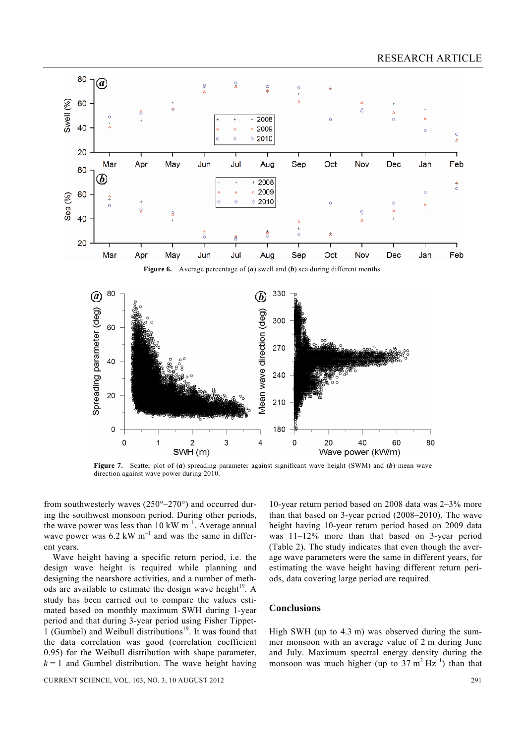

**Figure 7.** Scatter plot of (*a*) spreading parameter against significant wave height (SWM) and (*b*) mean wave direction against wave power during 2010.

from southwesterly waves  $(250^{\circ}-270^{\circ})$  and occurred during the southwest monsoon period. During other periods, the wave power was less than 10 kW  $m^{-1}$ . Average annual wave power was  $6.2 \text{ kW m}^{-1}$  and was the same in different years.

 Wave height having a specific return period, i.e. the design wave height is required while planning and designing the nearshore activities, and a number of methods are available to estimate the design wave height<sup>19</sup>. A study has been carried out to compare the values estimated based on monthly maximum SWH during 1-year period and that during 3-year period using Fisher Tippet-1 (Gumbel) and Weibull distributions<sup>19</sup>. It was found that the data correlation was good (correlation coefficient 0.95) for the Weibull distribution with shape parameter,  $k = 1$  and Gumbel distribution. The wave height having

CURRENT SCIENCE, VOL. 103, NO. 3, 10 AUGUST 2012 291

10-year return period based on 2008 data was 2–3% more than that based on 3-year period (2008–2010). The wave height having 10-year return period based on 2009 data was 11–12% more than that based on 3-year period (Table 2). The study indicates that even though the average wave parameters were the same in different years, for estimating the wave height having different return periods, data covering large period are required.

#### **Conclusions**

High SWH (up to 4.3 m) was observed during the summer monsoon with an average value of 2 m during June and July. Maximum spectral energy density during the monsoon was much higher (up to  $37 \text{ m}^2 \text{ Hz}^{-1}$ ) than that